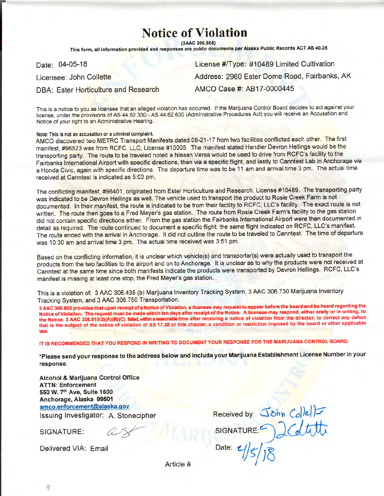## **Notice of Violation**

(3AAC 306.805)

This form, all information provided and responses are public documents per Alaska Public Records ACT AS 40.25

Date: 04-05-18

Licensee: John Collette

**DBA: Ester Horticulture and Research** 

License #/Type: #10489 Limited Cultivation Address: 2960 Ester Dome Road, Fairbanks, AK AMCO Case #: AB17-0000445

This is a notice to you as licensee that an alleged violation has occurred. If the Marijuana Control Board decides to act against your license, under the provisions of AS 44.62.330 - AS 44.62.630 (Administrative Procedures Act) you will receive an Accusation and Notice of your right to an Administrative Hearing.

## Note: This is not an accusation or a criminal complaint.

AMCO discovered two METRC Transport Manifests dated 08-21-17 from two facilities conflicted each other. The first manifest, #96523 was from RCFC, LLC, License #10005. The manifest stated Handler Devron Hellings would be the transporting party. The route to be traveled noted a Nissan Versa would be used to drive from RCFC's facility to the Fairbanks International Airport with specific directions, then via a specific flight, and lastly to Canntest Lab in Anchorage via a Honda Civic, again with specific directions. The departure time was to be 11 am and arrival time 3 pm. The actual time received at Canntest is indicated as 5:03 pm.

The conflicting manifest, #96401, originated from Ester Horticulture and Research, License #10489. The transporting party was indicated to be Devron Hellings as well. The vehicle used to transport the product to Rosie Creek Farm is not documented. In their manifest, the route is indicated to be from their facility to RCFC, LLC's facility. The exact route is not written. The route then goes to a Fred Meyer's gas station. The route from Rosie Creek Farm's facility to the gas station did not contain specific directions either. From the gas station the Fairbanks International Airport were then documented in detail as required. The route continued to document a specific flight; the same flight indicated on RCFC, LLC's manifest. The route ended with the arrival in Anchorage. It did not outline the route to be traveled to Canntest. The time of departure was 10:30 am and arrival time 3 pm. The actual time received was 3:51 pm.

Based on the conflicting information, it is unclear which vehicle(s) and transporter(s) were actually used to transport the products from the two facilities to the airport and on to Anchorage. It is unclear as to why the products were not received at Canntest at the same time since both manifests indicate the products were transported by Devron Hellings. RCFC, LLC's manifest is missing at least one stop, the Fred Meyer's gas station.

This is a violation of: 3 AAC 306.435 (b) Marijuana Inventory Tracking System, 3 AAC 306.730 Marijuana Inventory Tracking System, and 3 AAC 306.750 Transportation.

3 AAC 306.805 provides that upon receipt of a Notice of Violation, a licensee may request to appear before the board and be heard regarding the Notice of Violation. The request must be made within ten days after receipt of the Notice. A licensee may respond, either orally or in writing, to the Notice. 3 AAC 306.810(3)(A)(B)(C) failed, within a reasonable time after receiving a notice of violation from the director, to correct any defect that is the subject of the notice of violation of AS 17.38 or this chapter, a condition or restriction imposed by the board or other applicable law.

IT IS RECOMMENDED THAT YOU RESPOND IN WRITING TO DOCUMENT YOUR RESPONSE FOR THE MARIJUANA CONTROL BOARD.

\*Please send your response to the address below and include your Marijuana Establishment License Number in your response.

Alcohol & Marijuana Control Office **ATTN: Enforcement** 550 W. 7th Ave, Suite 1600 Anchorage, Alaska 99501 amco.enforcement@alaska.gov Issuing Investigator: A. Stonecipher

SIGNATURE:

Received by: John Collet **SIGNATURE:** Date:

Delivered VIA: Email

Article #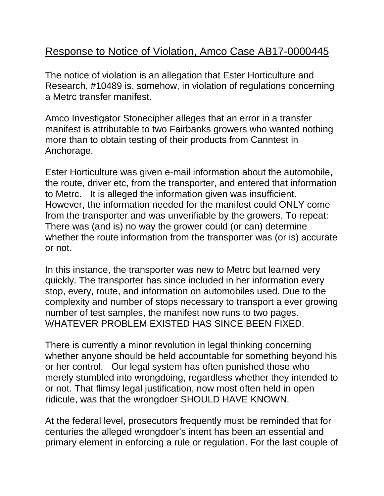## Response to Notice of Violation, Amco Case AB17-0000445

The notice of violation is an allegation that Ester Horticulture and Research, #10489 is, somehow, in violation of regulations concerning a Metrc transfer manifest.

Amco Investigator Stonecipher alleges that an error in a transfer manifest is attributable to two Fairbanks growers who wanted nothing more than to obtain testing of their products from Canntest in Anchorage.

Ester Horticulture was given e-mail information about the automobile, the route, driver etc, from the transporter, and entered that information to Metrc. It is alleged the information given was insufficient. However, the information needed for the manifest could ONLY come from the transporter and was unverifiable by the growers. To repeat: There was (and is) no way the grower could (or can) determine whether the route information from the transporter was (or is) accurate or not.

In this instance, the transporter was new to Metrc but learned very quickly. The transporter has since included in her information every stop, every, route, and information on automobiles used. Due to the complexity and number of stops necessary to transport a ever growing number of test samples, the manifest now runs to two pages. WHATEVER PROBLEM EXISTED HAS SINCE BEEN FIXED.

There is currently a minor revolution in legal thinking concerning whether anyone should be held accountable for something beyond his or her control. Our legal system has often punished those who merely stumbled into wrongdoing, regardless whether they intended to or not. That flimsy legal justification, now most often held in open ridicule, was that the wrongdoer SHOULD HAVE KNOWN.

At the federal level, prosecutors frequently must be reminded that for centuries the alleged wrongdoer's intent has been an essential and primary element in enforcing a rule or regulation. For the last couple of